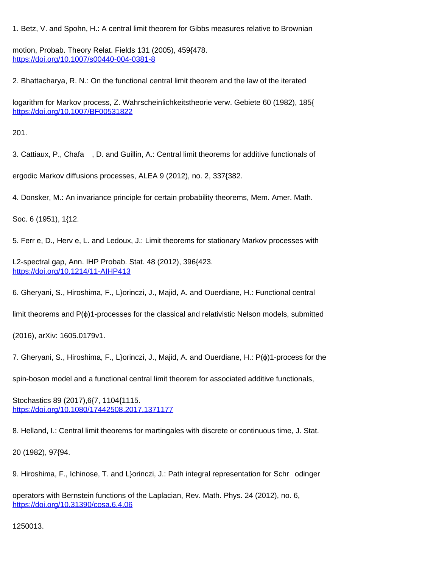1. Betz, V. and Spohn, H.: A central limit theorem for Gibbs measures relative to Brownian

motion, Probab. Theory Relat. Fields 131 (2005), 459{478. <https://doi.org/10.1007/s00440-004-0381-8>

2. Bhattacharya, R. N.: On the functional central limit theorem and the law of the iterated

logarithm for Markov process, Z. Wahrscheinlichkeitstheorie verw. Gebiete 60 (1982), 185{ <https://doi.org/10.1007/BF00531822>

201.

3. Cattiaux, P., Chafa , D. and Guillin, A.: Central limit theorems for additive functionals of

ergodic Markov diffusions processes, ALEA 9 (2012), no. 2, 337{382.

4. Donsker, M.: An invariance principle for certain probability theorems, Mem. Amer. Math.

Soc. 6 (1951), 1{12.

5. Ferr e, D., Herv e, L. and Ledoux, J.: Limit theorems for stationary Markov processes with

L2-spectral gap, Ann. IHP Probab. Stat. 48 (2012), 396{423. <https://doi.org/10.1214/11-AIHP413>

6. Gheryani, S., Hiroshima, F., L}orinczi, J., Majid, A. and Ouerdiane, H.: Functional central

limit theorems and P(ϕ)1-processes for the classical and relativistic Nelson models, submitted

(2016), arXiv: 1605.0179v1.

7. Gheryani, S., Hiroshima, F., L}orinczi, J., Majid, A. and Ouerdiane, H.: P(ϕ)1-process for the

spin-boson model and a functional central limit theorem for associated additive functionals,

Stochastics 89 (2017),6{7, 1104{1115. <https://doi.org/10.1080/17442508.2017.1371177>

8. Helland, I.: Central limit theorems for martingales with discrete or continuous time, J. Stat.

20 (1982), 97{94.

9. Hiroshima, F., Ichinose, T. and L}orinczi, J.: Path integral representation for Schr odinger

operators with Bernstein functions of the Laplacian, Rev. Math. Phys. 24 (2012), no. 6, <https://doi.org/10.31390/cosa.6.4.06>

1250013.